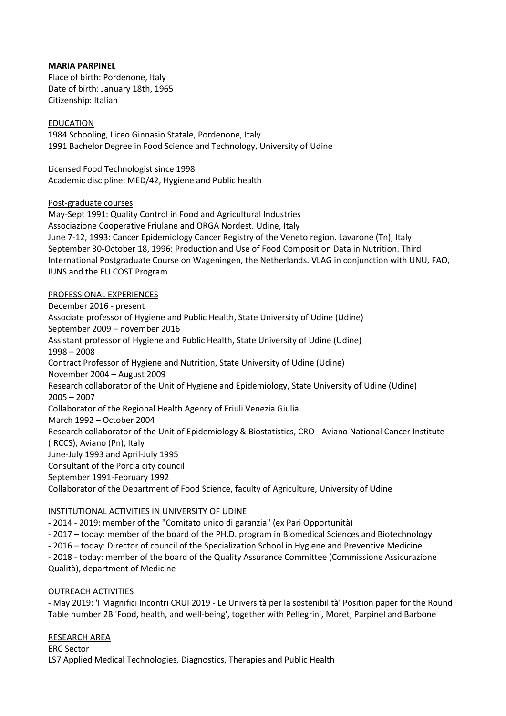### **MARIA PARPINEL**

Place of birth: Pordenone, Italy Date of birth: January 18th, 1965 Citizenship: Italian

### EDUCATION

1984 Schooling, Liceo Ginnasio Statale, Pordenone, Italy 1991 Bachelor Degree in Food Science and Technology, University of Udine

Licensed Food Technologist since 1998 Academic discipline: MED/42, Hygiene and Public health

### Post-graduate courses

May-Sept 1991: Quality Control in Food and Agricultural Industries Associazione Cooperative Friulane and ORGA Nordest. Udine, Italy June 7-12, 1993: Cancer Epidemiology Cancer Registry of the Veneto region. Lavarone (Tn), Italy September 30-October 18, 1996: Production and Use of Food Composition Data in Nutrition. Third International Postgraduate Course on Wageningen, the Netherlands. VLAG in conjunction with UNU, FAO, IUNS and the EU COST Program

### PROFESSIONAL EXPERIENCES

December 2016 - present Associate professor of Hygiene and Public Health, State University of Udine (Udine) September 2009 – november 2016 Assistant professor of Hygiene and Public Health, State University of Udine (Udine) 1998 – 2008 Contract Professor of Hygiene and Nutrition, State University of Udine (Udine) November 2004 – August 2009 Research collaborator of the Unit of Hygiene and Epidemiology, State University of Udine (Udine) 2005 – 2007 Collaborator of the Regional Health Agency of Friuli Venezia Giulia March 1992 – October 2004 Research collaborator of the Unit of Epidemiology & Biostatistics, CRO - Aviano National Cancer Institute (IRCCS), Aviano (Pn), Italy June-July 1993 and April-July 1995 Consultant of the Porcia city council September 1991-February 1992 Collaborator of the Department of Food Science, faculty of Agriculture, University of Udine

# INSTITUTIONAL ACTIVITIES IN UNIVERSITY OF UDINE

- 2014 - 2019: member of the "Comitato unico di garanzia" (ex Pari Opportunità)

- 2017 – today: member of the board of the PH.D. program in Biomedical Sciences and Biotechnology

- 2016 – today: Director of council of the Specialization School in Hygiene and Preventive Medicine

- 2018 - today: member of the board of the Quality Assurance Committee (Commissione Assicurazione Qualità), department of Medicine

# OUTREACH ACTIVITIES

- May 2019: 'I Magnifici Incontri CRUI 2019 - Le Università per la sostenibilità' Position paper for the Round Table number 2B 'Food, health, and well-being', together with Pellegrini, Moret, Parpinel and Barbone

### RESEARCH AREA

ERC Sector LS7 Applied Medical Technologies, Diagnostics, Therapies and Public Health